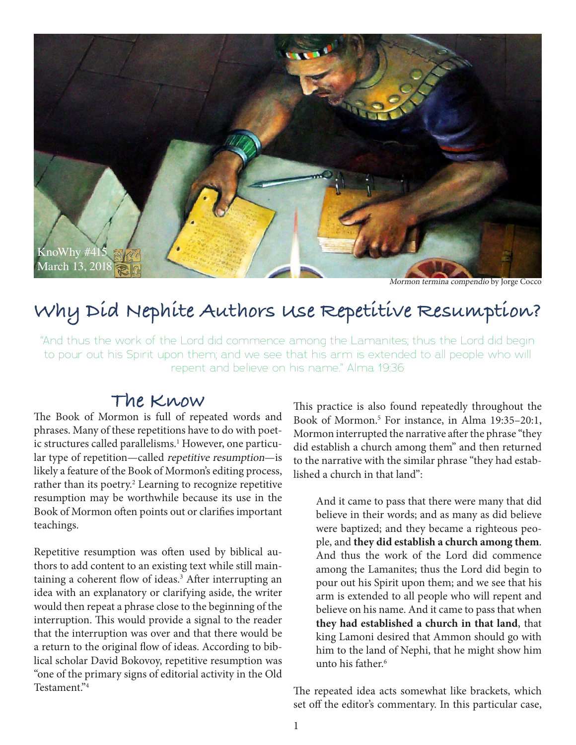

Mormon termina compendio by Jorge Cocco

## **Why Did Nephite Authors Use Repetitive Resumption?**

"And thus the work of the Lord did commence among the Lamanites; thus the Lord did begin to pour out his Spirit upon them; and we see that his arm is extended to all people who will repent and believe on his name." Alma 19:36

## **The Know**

The Book of Mormon is full of repeated words and phrases. Many of these repetitions have to do with poetic structures called parallelisms.<sup>1</sup> However, one particular type of repetition—called repetitive resumption—is likely a feature of the Book of Mormon's editing process, rather than its poetry.<sup>2</sup> Learning to recognize repetitive resumption may be worthwhile because its use in the Book of Mormon often points out or clarifies important teachings.

Repetitive resumption was often used by biblical authors to add content to an existing text while still maintaining a coherent flow of ideas.<sup>3</sup> After interrupting an idea with an explanatory or clarifying aside, the writer would then repeat a phrase close to the beginning of the interruption. This would provide a signal to the reader that the interruption was over and that there would be a return to the original flow of ideas. According to biblical scholar David Bokovoy, repetitive resumption was "one of the primary signs of editorial activity in the Old Testament."4

This practice is also found repeatedly throughout the Book of Mormon.5 For instance, in Alma 19:35–20:1, Mormon interrupted the narrative after the phrase "they did establish a church among them" and then returned to the narrative with the similar phrase "they had established a church in that land":

And it came to pass that there were many that did believe in their words; and as many as did believe were baptized; and they became a righteous people, and **they did establish a church among them**. And thus the work of the Lord did commence among the Lamanites; thus the Lord did begin to pour out his Spirit upon them; and we see that his arm is extended to all people who will repent and believe on his name. And it came to pass that when **they had established a church in that land**, that king Lamoni desired that Ammon should go with him to the land of Nephi, that he might show him unto his father.<sup>6</sup>

The repeated idea acts somewhat like brackets, which set off the editor's commentary. In this particular case,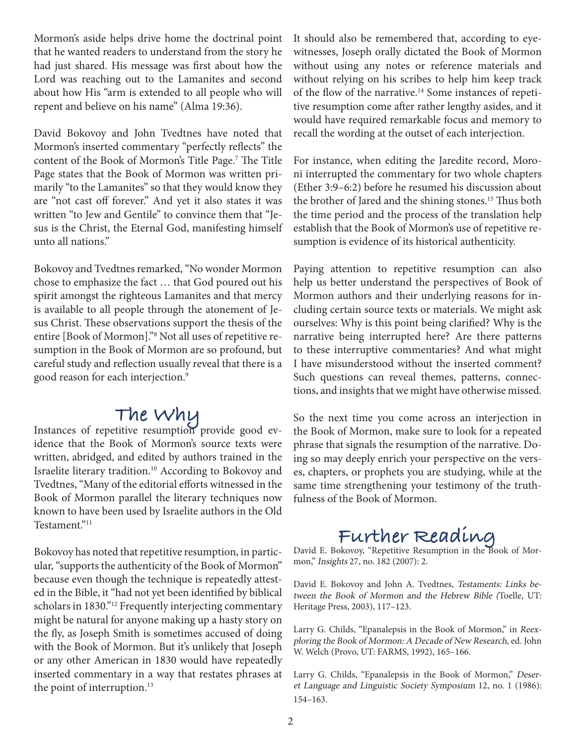Mormon's aside helps drive home the doctrinal point that he wanted readers to understand from the story he had just shared. His message was first about how the Lord was reaching out to the Lamanites and second about how His "arm is extended to all people who will repent and believe on his name" (Alma 19:36).

David Bokovoy and John Tvedtnes have noted that Mormon's inserted commentary "perfectly reflects" the content of the Book of Mormon's Title Page.<sup>7</sup> The Title Page states that the Book of Mormon was written primarily "to the Lamanites" so that they would know they are "not cast off forever." And yet it also states it was written "to Jew and Gentile" to convince them that "Jesus is the Christ, the Eternal God, manifesting himself unto all nations."

Bokovoy and Tvedtnes remarked, "No wonder Mormon chose to emphasize the fact … that God poured out his spirit amongst the righteous Lamanites and that mercy is available to all people through the atonement of Jesus Christ. These observations support the thesis of the entire [Book of Mormon]."8 Not all uses of repetitive resumption in the Book of Mormon are so profound, but careful study and reflection usually reveal that there is a good reason for each interjection.9

**The Why**<br>Instances of repetitive resumption provide good evidence that the Book of Mormon's source texts were written, abridged, and edited by authors trained in the Israelite literary tradition.10 According to Bokovoy and Tvedtnes, "Many of the editorial efforts witnessed in the Book of Mormon parallel the literary techniques now known to have been used by Israelite authors in the Old Testament."11

Bokovoy has noted that repetitive resumption, in particular, "supports the authenticity of the Book of Mormon" because even though the technique is repeatedly attested in the Bible, it "had not yet been identified by biblical scholars in 1830."12 Frequently interjecting commentary might be natural for anyone making up a hasty story on the fly, as Joseph Smith is sometimes accused of doing with the Book of Mormon. But it's unlikely that Joseph or any other American in 1830 would have repeatedly inserted commentary in a way that restates phrases at the point of interruption.<sup>13</sup>

It should also be remembered that, according to eyewitnesses, Joseph orally dictated the Book of Mormon without using any notes or reference materials and without relying on his scribes to help him keep track of the flow of the narrative.<sup>14</sup> Some instances of repetitive resumption come after rather lengthy asides, and it would have required remarkable focus and memory to recall the wording at the outset of each interjection.

For instance, when editing the Jaredite record, Moroni interrupted the commentary for two whole chapters (Ether 3:9–6:2) before he resumed his discussion about the brother of Jared and the shining stones.<sup>15</sup> Thus both the time period and the process of the translation help establish that the Book of Mormon's use of repetitive resumption is evidence of its historical authenticity.

Paying attention to repetitive resumption can also help us better understand the perspectives of Book of Mormon authors and their underlying reasons for including certain source texts or materials. We might ask ourselves: Why is this point being clarified? Why is the narrative being interrupted here? Are there patterns to these interruptive commentaries? And what might I have misunderstood without the inserted comment? Such questions can reveal themes, patterns, connections, and insights that we might have otherwise missed.

So the next time you come across an interjection in the Book of Mormon, make sure to look for a repeated phrase that signals the resumption of the narrative. Doing so may deeply enrich your perspective on the verses, chapters, or prophets you are studying, while at the same time strengthening your testimony of the truthfulness of the Book of Mormon.

# Further Reading<br>David E. Bokovoy, "Repetitive Resumption in the Book of Mor-

mon," Insights 27, no. 182 (2007): 2.

David E. Bokovoy and John A. Tvedtnes, Testaments: Links between the Book of Mormon and the Hebrew Bible (Toelle, UT: Heritage Press, 2003), 117–123.

Larry G. Childs, "Epanalepsis in the Book of Mormon," in Reexploring the Book of Mormon: A Decade of New Research, ed. John W. Welch (Provo, UT: FARMS, 1992), 165–166.

Larry G. Childs, "Epanalepsis in the Book of Mormon," Deseret Language and Linguistic Society Symposium 12, no. 1 (1986): 154–163.